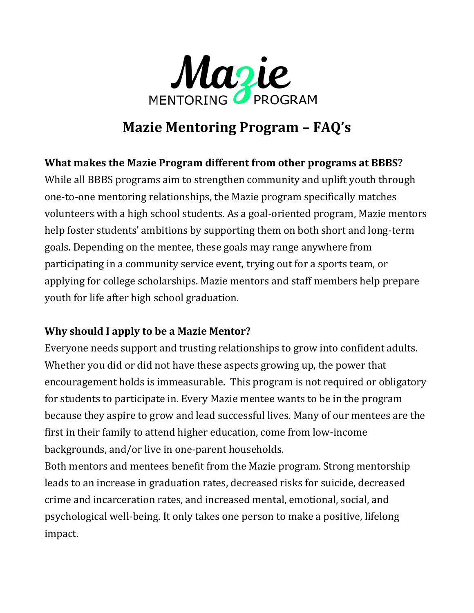

# **Mazie Mentoring Program – FAQ's**

## **What makes the Mazie Program different from other programs at BBBS?**

While all BBBS programs aim to strengthen community and uplift youth through one-to-one mentoring relationships, the Mazie program specifically matches volunteers with a high school students. As a goal-oriented program, Mazie mentors help foster students' ambitions by supporting them on both short and long-term goals. Depending on the mentee, these goals may range anywhere from participating in a community service event, trying out for a sports team, or applying for college scholarships. Mazie mentors and staff members help prepare youth for life after high school graduation.

## **Why should I apply to be a Mazie Mentor?**

Everyone needs support and trusting relationships to grow into confident adults. Whether you did or did not have these aspects growing up, the power that encouragement holds is immeasurable. This program is not required or obligatory for students to participate in. Every Mazie mentee wants to be in the program because they aspire to grow and lead successful lives. Many of our mentees are the first in their family to attend higher education, come from low-income backgrounds, and/or live in one-parent households.

Both mentors and mentees benefit from the Mazie program. Strong mentorship leads to an increase in graduation rates, decreased risks for suicide, decreased crime and incarceration rates, and increased mental, emotional, social, and psychological well-being. It only takes one person to make a positive, lifelong impact.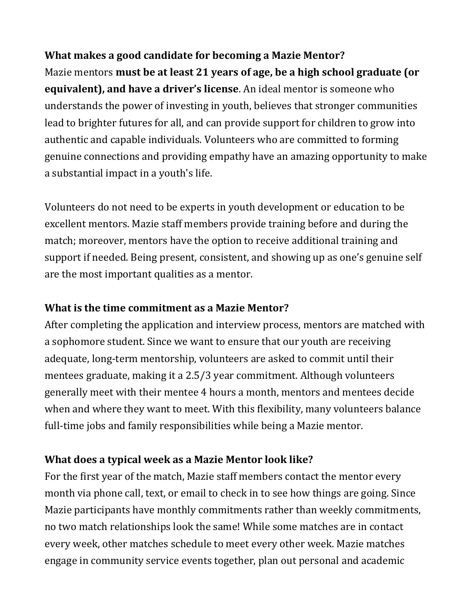### **What makes a good candidate for becoming a Mazie Mentor?**

Mazie mentors **must be at least 21 years of age, be a high school graduate (or equivalent), and have a driver's license**. An ideal mentor is someone who understands the power of investing in youth, believes that stronger communities lead to brighter futures for all, and can provide support for children to grow into authentic and capable individuals. Volunteers who are committed to forming genuine connections and providing empathy have an amazing opportunity to make a substantial impact in a youth's life.

Volunteers do not need to be experts in youth development or education to be excellent mentors. Mazie staff members provide training before and during the match; moreover, mentors have the option to receive additional training and support if needed. Being present, consistent, and showing up as one's genuine self are the most important qualities as a mentor.

#### **What is the time commitment as a Mazie Mentor?**

After completing the application and interview process, mentors are matched with a sophomore student. Since we want to ensure that our youth are receiving adequate, long-term mentorship, volunteers are asked to commit until their mentees graduate, making it a 2.5/3 year commitment. Although volunteers generally meet with their mentee 4 hours a month, mentors and mentees decide when and where they want to meet. With this flexibility, many volunteers balance full-time jobs and family responsibilities while being a Mazie mentor.

#### **What does a typical week as a Mazie Mentor look like?**

For the first year of the match, Mazie staff members contact the mentor every month via phone call, text, or email to check in to see how things are going. Since Mazie participants have monthly commitments rather than weekly commitments, no two match relationships look the same! While some matches are in contact every week, other matches schedule to meet every other week. Mazie matches engage in community service events together, plan out personal and academic